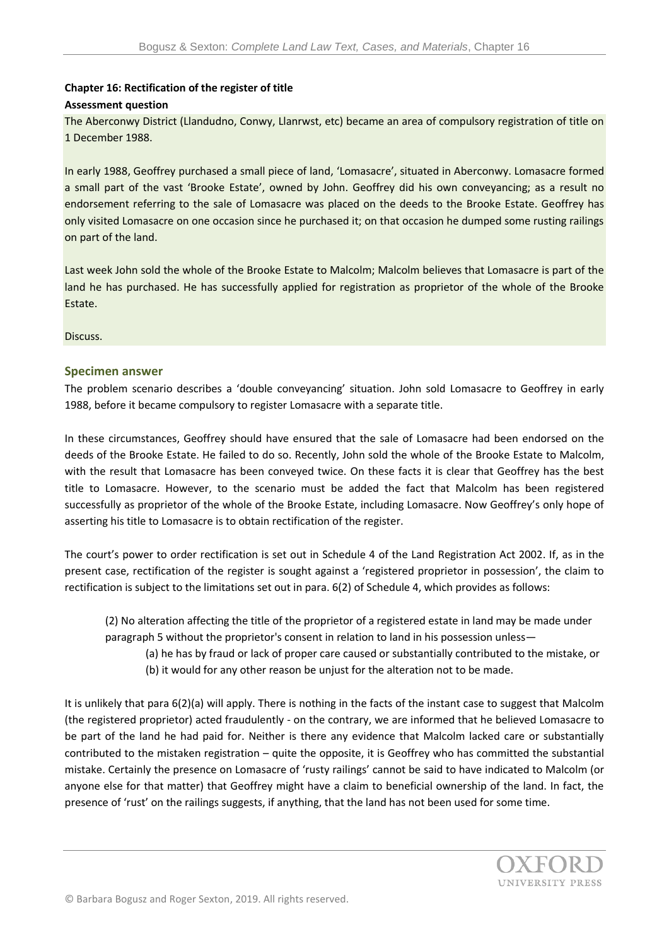## **Chapter 16: Rectification of the register of title Assessment question**

The Aberconwy District (Llandudno, Conwy, Llanrwst, etc) became an area of compulsory registration of title on 1 December 1988.

In early 1988, Geoffrey purchased a small piece of land, 'Lomasacre', situated in Aberconwy. Lomasacre formed a small part of the vast 'Brooke Estate', owned by John. Geoffrey did his own conveyancing; as a result no endorsement referring to the sale of Lomasacre was placed on the deeds to the Brooke Estate. Geoffrey has only visited Lomasacre on one occasion since he purchased it; on that occasion he dumped some rusting railings on part of the land.

Last week John sold the whole of the Brooke Estate to Malcolm; Malcolm believes that Lomasacre is part of the land he has purchased. He has successfully applied for registration as proprietor of the whole of the Brooke Estate.

Discuss.

## **Specimen answer**

The problem scenario describes a 'double conveyancing' situation. John sold Lomasacre to Geoffrey in early 1988, before it became compulsory to register Lomasacre with a separate title.

In these circumstances, Geoffrey should have ensured that the sale of Lomasacre had been endorsed on the deeds of the Brooke Estate. He failed to do so. Recently, John sold the whole of the Brooke Estate to Malcolm, with the result that Lomasacre has been conveyed twice. On these facts it is clear that Geoffrey has the best title to Lomasacre. However, to the scenario must be added the fact that Malcolm has been registered successfully as proprietor of the whole of the Brooke Estate, including Lomasacre. Now Geoffrey's only hope of asserting his title to Lomasacre is to obtain rectification of the register.

The court's power to order rectification is set out in Schedule 4 of the Land Registration Act 2002. If, as in the present case, rectification of the register is sought against a 'registered proprietor in possession', the claim to rectification is subject to the limitations set out in para. 6(2) of Schedule 4, which provides as follows:

(2) No alteration affecting the title of the proprietor of a registered estate in land may be made under [paragraph 5](http://login.westlaw.co.uk/app/document?src=doc&linktype=ref&&context=4&crumb-action=replace&docguid=I71485D30E45211DA8D70A0E70) without the proprietor's consent in relation to land in his possession unless—

(a) he has by fraud or lack of proper care caused or substantially contributed to the mistake, or (b) it would for any other reason be unjust for the alteration not to be made.

It is unlikely that para 6(2)(a) will apply. There is nothing in the facts of the instant case to suggest that Malcolm (the registered proprietor) acted fraudulently - on the contrary, we are informed that he believed Lomasacre to be part of the land he had paid for. Neither is there any evidence that Malcolm lacked care or substantially contributed to the mistaken registration – quite the opposite, it is Geoffrey who has committed the substantial mistake. Certainly the presence on Lomasacre of 'rusty railings' cannot be said to have indicated to Malcolm (or anyone else for that matter) that Geoffrey might have a claim to beneficial ownership of the land. In fact, the presence of 'rust' on the railings suggests, if anything, that the land has not been used for some time.